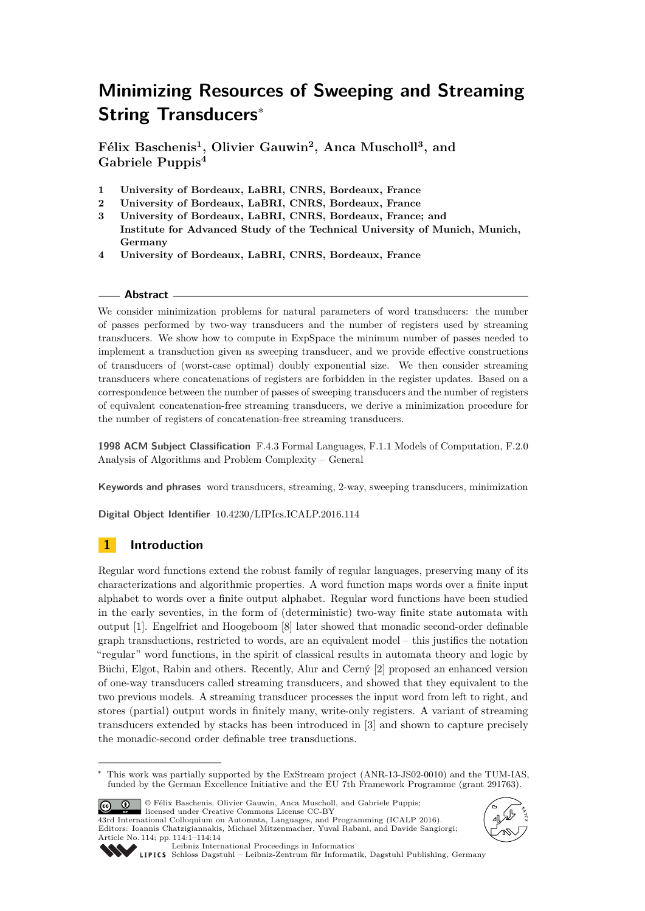# **Minimizing Resources of Sweeping and Streaming String Transducers**<sup>∗</sup>

**Félix Baschenis<sup>1</sup> , Olivier Gauwin<sup>2</sup> , Anca Muscholl<sup>3</sup> , and Gabriele Puppis<sup>4</sup>**

- **1 University of Bordeaux, LaBRI, CNRS, Bordeaux, France**
- **2 University of Bordeaux, LaBRI, CNRS, Bordeaux, France**
- **3 University of Bordeaux, LaBRI, CNRS, Bordeaux, France; and Institute for Advanced Study of the Technical University of Munich, Munich, Germany**
- **4 University of Bordeaux, LaBRI, CNRS, Bordeaux, France**

## **Abstract**

We consider minimization problems for natural parameters of word transducers: the number of passes performed by two-way transducers and the number of registers used by streaming transducers. We show how to compute in ExpSpace the minimum number of passes needed to implement a transduction given as sweeping transducer, and we provide effective constructions of transducers of (worst-case optimal) doubly exponential size. We then consider streaming transducers where concatenations of registers are forbidden in the register updates. Based on a correspondence between the number of passes of sweeping transducers and the number of registers of equivalent concatenation-free streaming transducers, we derive a minimization procedure for the number of registers of concatenation-free streaming transducers.

**1998 ACM Subject Classification** F.4.3 Formal Languages, F.1.1 Models of Computation, F.2.0 Analysis of Algorithms and Problem Complexity – General

**Keywords and phrases** word transducers, streaming, 2-way, sweeping transducers, minimization

**Digital Object Identifier** [10.4230/LIPIcs.ICALP.2016.114](http://dx.doi.org/10.4230/LIPIcs.ICALP.2016.114)

# **1 Introduction**

Regular word functions extend the robust family of regular languages, preserving many of its characterizations and algorithmic properties. A word function maps words over a finite input alphabet to words over a finite output alphabet. Regular word functions have been studied in the early seventies, in the form of (deterministic) two-way finite state automata with output [\[1\]](#page-12-0). Engelfriet and Hoogeboom [\[8\]](#page-12-1) later showed that monadic second-order definable graph transductions, restricted to words, are an equivalent model – this justifies the notation "regular" word functions, in the spirit of classical results in automata theory and logic by Büchi, Elgot, Rabin and others. Recently, Alur and Cerný [\[2\]](#page-12-2) proposed an enhanced version of one-way transducers called streaming transducers, and showed that they equivalent to the two previous models. A streaming transducer processes the input word from left to right, and stores (partial) output words in finitely many, write-only registers. A variant of streaming transducers extended by stacks has been introduced in [\[3\]](#page-12-3) and shown to capture precisely the monadic-second order definable tree transductions.

© Félix Baschenis, Olivier Gauwin, Anca Muscholl, and Gabriele Puppis; <u>ര്ര 0 </u> licensed under Creative Commons License CC-BY

43rd International Colloquium on Automata, Languages, and Programming (ICALP 2016). Editors: Ioannis Chatzigiannakis, Michael Mitzenmacher, Yuval Rabani, and Davide Sangiorgi; Article No. 114; pp. 114:1–114[:14](#page-13-0)





[Leibniz International Proceedings in Informatics](http://www.dagstuhl.de/lipics/)

[Schloss Dagstuhl – Leibniz-Zentrum für Informatik, Dagstuhl Publishing, Germany](http://www.dagstuhl.de)

<sup>∗</sup> This work was partially supported by the ExStream project (ANR-13-JS02-0010) and the TUM-IAS, funded by the German Excellence Initiative and the EU 7th Framework Programme (grant 291763).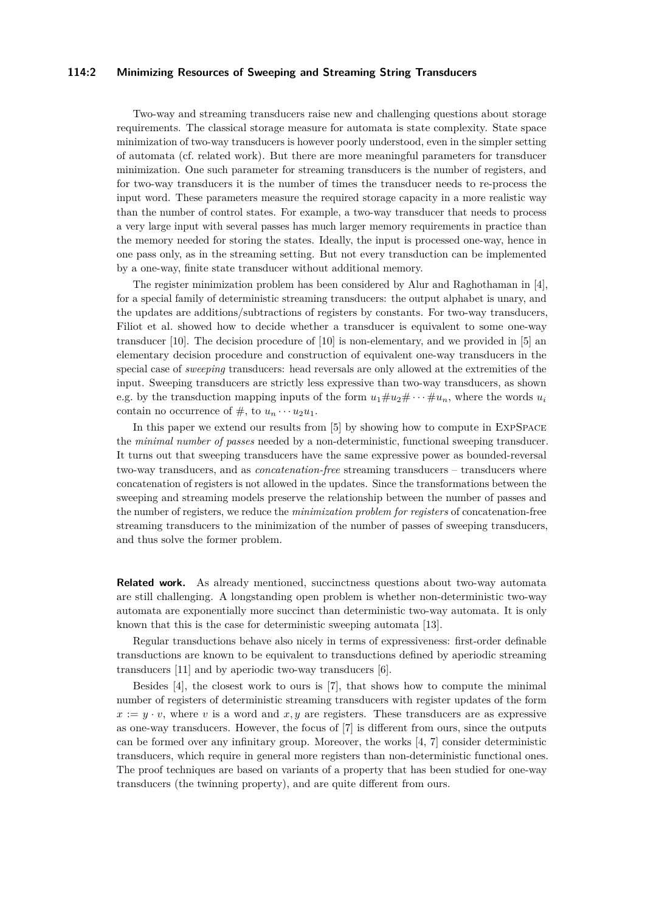#### **114:2 Minimizing Resources of Sweeping and Streaming String Transducers**

Two-way and streaming transducers raise new and challenging questions about storage requirements. The classical storage measure for automata is state complexity. State space minimization of two-way transducers is however poorly understood, even in the simpler setting of automata (cf. related work). But there are more meaningful parameters for transducer minimization. One such parameter for streaming transducers is the number of registers, and for two-way transducers it is the number of times the transducer needs to re-process the input word. These parameters measure the required storage capacity in a more realistic way than the number of control states. For example, a two-way transducer that needs to process a very large input with several passes has much larger memory requirements in practice than the memory needed for storing the states. Ideally, the input is processed one-way, hence in one pass only, as in the streaming setting. But not every transduction can be implemented by a one-way, finite state transducer without additional memory.

The register minimization problem has been considered by Alur and Raghothaman in [\[4\]](#page-12-4), for a special family of deterministic streaming transducers: the output alphabet is unary, and the updates are additions/subtractions of registers by constants. For two-way transducers, Filiot et al. showed how to decide whether a transducer is equivalent to some one-way transducer [\[10\]](#page-12-5). The decision procedure of [\[10\]](#page-12-5) is non-elementary, and we provided in [\[5\]](#page-12-6) an elementary decision procedure and construction of equivalent one-way transducers in the special case of *sweeping* transducers: head reversals are only allowed at the extremities of the input. Sweeping transducers are strictly less expressive than two-way transducers, as shown e.g. by the transduction mapping inputs of the form  $u_1 \# u_2 \# \cdots \# u_n$ , where the words  $u_i$ contain no occurrence of  $\#$ , to  $u_n \cdots u_2 u_1$ .

In this paper we extend our results from [\[5\]](#page-12-6) by showing how to compute in ExpSpace the *minimal number of passes* needed by a non-deterministic, functional sweeping transducer. It turns out that sweeping transducers have the same expressive power as bounded-reversal two-way transducers, and as *concatenation-free* streaming transducers – transducers where concatenation of registers is not allowed in the updates. Since the transformations between the sweeping and streaming models preserve the relationship between the number of passes and the number of registers, we reduce the *minimization problem for registers* of concatenation-free streaming transducers to the minimization of the number of passes of sweeping transducers, and thus solve the former problem.

**Related work.** As already mentioned, succinctness questions about two-way automata are still challenging. A longstanding open problem is whether non-deterministic two-way automata are exponentially more succinct than deterministic two-way automata. It is only known that this is the case for deterministic sweeping automata [\[13\]](#page-13-1).

Regular transductions behave also nicely in terms of expressiveness: first-order definable transductions are known to be equivalent to transductions defined by aperiodic streaming transducers [\[11\]](#page-13-2) and by aperiodic two-way transducers [\[6\]](#page-12-7).

Besides [\[4\]](#page-12-4), the closest work to ours is [\[7\]](#page-12-8), that shows how to compute the minimal number of registers of deterministic streaming transducers with register updates of the form  $x := y \cdot v$ , where *v* is a word and *x*, *y* are registers. These transducers are as expressive as one-way transducers. However, the focus of [\[7\]](#page-12-8) is different from ours, since the outputs can be formed over any infinitary group. Moreover, the works [\[4,](#page-12-4) [7\]](#page-12-8) consider deterministic transducers, which require in general more registers than non-deterministic functional ones. The proof techniques are based on variants of a property that has been studied for one-way transducers (the twinning property), and are quite different from ours.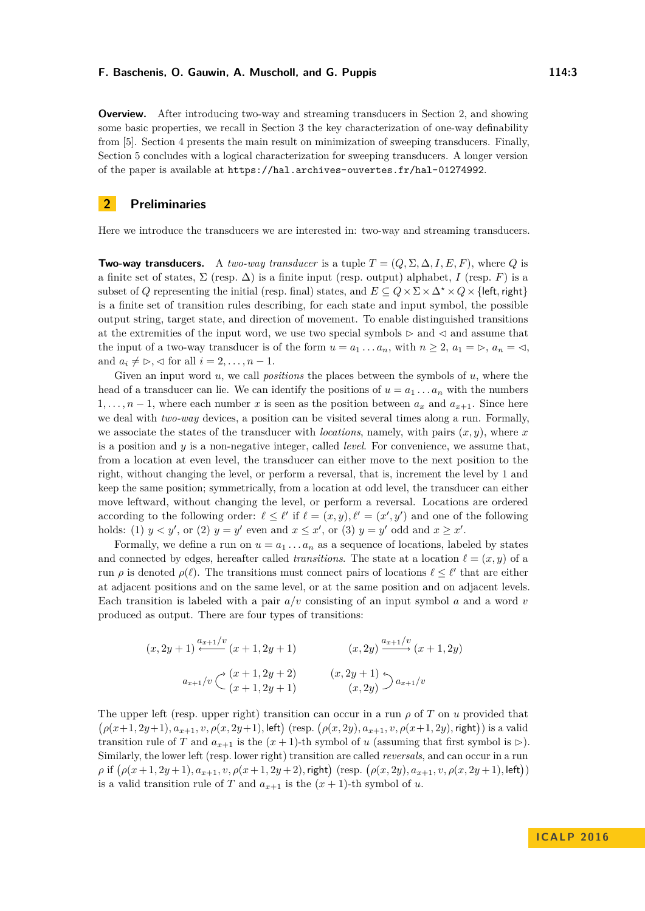**Overview.** After introducing two-way and streaming transducers in Section [2,](#page-2-0) and showing some basic properties, we recall in Section [3](#page-5-0) the key characterization of one-way definability from [\[5\]](#page-12-6). Section [4](#page-7-0) presents the main result on minimization of sweeping transducers. Finally, Section [5](#page-11-0) concludes with a logical characterization for sweeping transducers. A longer version of the paper is available at <https://hal.archives-ouvertes.fr/hal-01274992>.

## <span id="page-2-0"></span>**2 Preliminaries**

Here we introduce the transducers we are interested in: two-way and streaming transducers.

**Two-way transducers.** A *two-way transducer* is a tuple  $T = (Q, \Sigma, \Delta, I, E, F)$ , where *Q* is a finite set of states,  $\Sigma$  (resp.  $\Delta$ ) is a finite input (resp. output) alphabet, *I* (resp. *F*) is a subset of *Q* representing the initial (resp. final) states, and  $E \subseteq Q \times \Sigma \times \Delta^* \times Q \times \{\text{left}, \text{right}\}\$ is a finite set of transition rules describing, for each state and input symbol, the possible output string, target state, and direction of movement. To enable distinguished transitions at the extremities of the input word, we use two special symbols  $\triangleright$  and  $\triangleleft$  and assume that the input of a two-way transducer is of the form  $u = a_1 \dots a_n$ , with  $n \geq 2$ ,  $a_1 = \triangleright$ ,  $a_n = \triangleleft$ , and  $a_i \neq \rhd, \lhd$  for all  $i = 2, \ldots, n - 1$ .

Given an input word *u*, we call *positions* the places between the symbols of *u*, where the head of a transducer can lie. We can identify the positions of  $u = a_1 \ldots a_n$  with the numbers 1, ...,  $n-1$ , where each number x is seen as the position between  $a_x$  and  $a_{x+1}$ . Since here we deal with *two-way* devices, a position can be visited several times along a run. Formally, we associate the states of the transducer with *locations*, namely, with pairs  $(x, y)$ , where  $x$ is a position and *y* is a non-negative integer, called *level*. For convenience, we assume that, from a location at even level, the transducer can either move to the next position to the right, without changing the level, or perform a reversal, that is, increment the level by 1 and keep the same position; symmetrically, from a location at odd level, the transducer can either move leftward, without changing the level, or perform a reversal. Locations are ordered according to the following order:  $\ell \leq \ell'$  if  $\ell = (x, y), \ell' = (x', y')$  and one of the following holds: (1)  $y < y'$ , or (2)  $y = y'$  even and  $x \leq x'$ , or (3)  $y = y'$  odd and  $x \geq x'$ .

Formally, we define a run on  $u = a_1 \ldots a_n$  as a sequence of locations, labeled by states and connected by edges, hereafter called *transitions*. The state at a location  $\ell = (x, y)$  of a run  $\rho$  is denoted  $\rho(\ell)$ . The transitions must connect pairs of locations  $\ell \leq \ell'$  that are either at adjacent positions and on the same level, or at the same position and on adjacent levels. Each transition is labeled with a pair *a/v* consisting of an input symbol *a* and a word *v* produced as output. There are four types of transitions:

$$
(x, 2y+1) \xleftarrow{a_{x+1}/v} (x+1, 2y+1) \qquad (x, 2y) \xrightarrow{a_{x+1}/v} (x+1, 2y)
$$

$$
\xrightarrow{a_{x+1}/v} \xleftarrow{(x+1, 2y+2)} (x, 2y+1) \xrightarrow{(x, 2y)} a_{x+1}/v
$$

The upper left (resp. upper right) transition can occur in a run  $\rho$  of  $T$  on  $u$  provided that  $(\rho(x+1, 2y+1), a_{x+1}, v, \rho(x, 2y+1), \text{left})$  (resp.  $(\rho(x, 2y), a_{x+1}, v, \rho(x+1, 2y), \text{right}))$  is a valid transition rule of *T* and  $a_{x+1}$  is the  $(x+1)$ -th symbol of *u* (assuming that first symbol is  $\triangleright$ ). Similarly, the lower left (resp. lower right) transition are called *reversals*, and can occur in a run  $\rho$  if  $(\rho(x+1, 2y+1), a_{x+1}, v, \rho(x+1, 2y+2), \text{right})$  (resp.  $(\rho(x, 2y), a_{x+1}, v, \rho(x, 2y+1), \text{left}))$ is a valid transition rule of *T* and  $a_{x+1}$  is the  $(x + 1)$ -th symbol of *u*.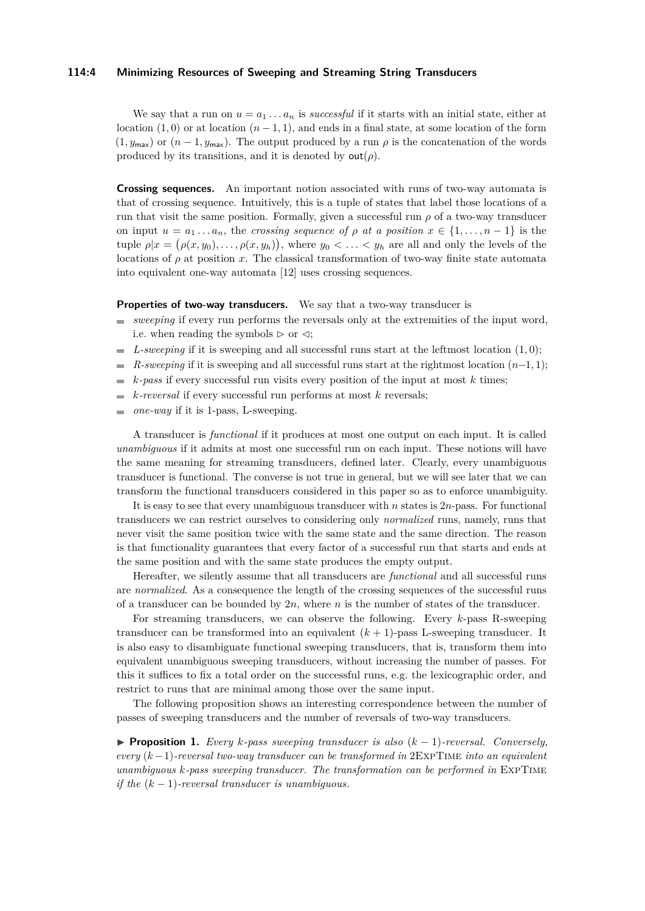#### **114:4 Minimizing Resources of Sweeping and Streaming String Transducers**

We say that a run on  $u = a_1 \ldots a_n$  is *successful* if it starts with an initial state, either at location  $(1,0)$  or at location  $(n-1,1)$ , and ends in a final state, at some location of the form  $(1, y_{\text{max}})$  or  $(n-1, y_{\text{max}})$ . The output produced by a run  $\rho$  is the concatenation of the words produced by its transitions, and it is denoted by  $\text{out}(\rho)$ .

**Crossing sequences.** An important notion associated with runs of two-way automata is that of crossing sequence. Intuitively, this is a tuple of states that label those locations of a run that visit the same position. Formally, given a successful run  $\rho$  of a two-way transducer on input  $u = a_1 \ldots a_n$ , the *crossing sequence of*  $\rho$  *at a position*  $x \in \{1, \ldots, n-1\}$  is the tuple  $\rho | x = (\rho(x, y_0), \ldots, \rho(x, y_h))$ , where  $y_0 < \ldots < y_h$  are all and only the levels of the locations of  $\rho$  at position *x*. The classical transformation of two-way finite state automata into equivalent one-way automata [\[12\]](#page-13-3) uses crossing sequences.

#### **Properties of two-way transducers.** We say that a two-way transducer is

- *sweeping* if every run performs the reversals only at the extremities of the input word, i.e. when reading the symbols  $\triangleright$  or  $\triangleleft$ ;
- $\blacksquare$  *L-sweeping* if it is sweeping and all successful runs start at the leftmost location  $(1,0)$ ;
- *R-sweeping* if it is sweeping and all successful runs start at the rightmost location  $(n-1, 1)$ ;  $\equiv$
- *k-pass* if every successful run visits every position of the input at most *k* times;  $\sim$
- *k-reversal* if every successful run performs at most *k* reversals;  $\overline{a}$
- *one-way* if it is 1-pass, L-sweeping.  $\overline{a}$

A transducer is *functional* if it produces at most one output on each input. It is called *unambiguous* if it admits at most one successful run on each input. These notions will have the same meaning for streaming transducers, defined later. Clearly, every unambiguous transducer is functional. The converse is not true in general, but we will see later that we can transform the functional transducers considered in this paper so as to enforce unambiguity.

It is easy to see that every unambiguous transducer with *n* states is 2*n*-pass. For functional transducers we can restrict ourselves to considering only *normalized* runs, namely, runs that never visit the same position twice with the same state and the same direction. The reason is that functionality guarantees that every factor of a successful run that starts and ends at the same position and with the same state produces the empty output.

Hereafter, we silently assume that all transducers are *functional* and all successful runs are *normalized*. As a consequence the length of the crossing sequences of the successful runs of a transducer can be bounded by 2*n*, where *n* is the number of states of the transducer.

For streaming transducers, we can observe the following. Every *k*-pass R-sweeping transducer can be transformed into an equivalent  $(k + 1)$ -pass L-sweeping transducer. It is also easy to disambiguate functional sweeping transducers, that is, transform them into equivalent unambiguous sweeping transducers, without increasing the number of passes. For this it suffices to fix a total order on the successful runs, e.g. the lexicographic order, and restrict to runs that are minimal among those over the same input.

The following proposition shows an interesting correspondence between the number of passes of sweeping transducers and the number of reversals of two-way transducers.

<span id="page-3-0"></span>I **Proposition 1.** *Every k-pass sweeping transducer is also* (*k* − 1)*-reversal. Conversely, every* (*k*−1)*-reversal two-way transducer can be transformed in* 2ExpTime *into an equivalent unambiguous k-pass sweeping transducer. The transformation can be performed in* ExpTime *if the* (*k* − 1)*-reversal transducer is unambiguous.*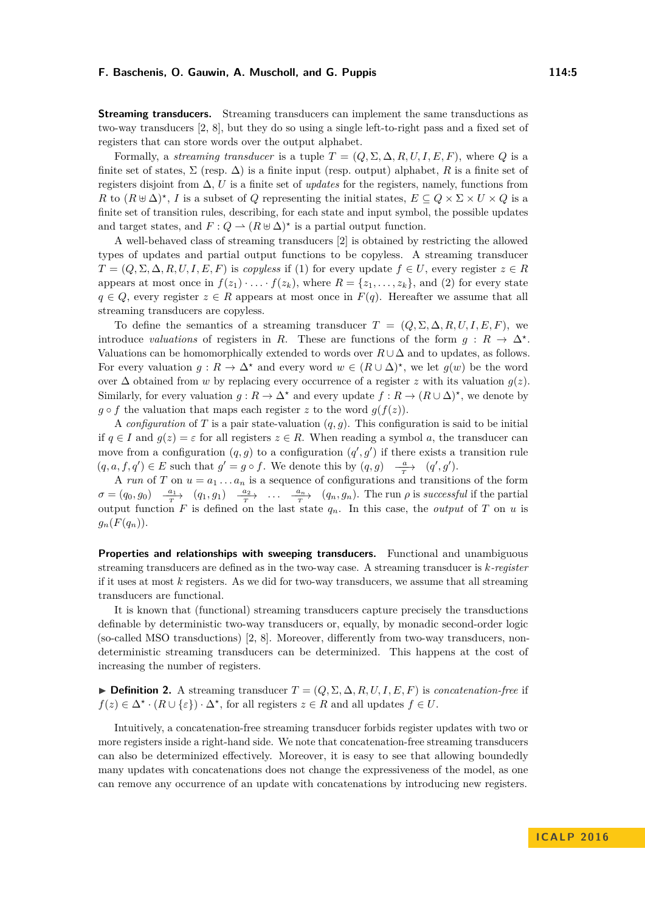**Streaming transducers.** Streaming transducers can implement the same transductions as two-way transducers [\[2,](#page-12-2) [8\]](#page-12-1), but they do so using a single left-to-right pass and a fixed set of registers that can store words over the output alphabet.

Formally, a *streaming transducer* is a tuple  $T = (Q, \Sigma, \Delta, R, U, I, E, F)$ , where Q is a finite set of states,  $\Sigma$  (resp.  $\Delta$ ) is a finite input (resp. output) alphabet, *R* is a finite set of registers disjoint from  $\Delta$ , *U* is a finite set of *updates* for the registers, namely, functions from *R* to  $(R \oplus \Delta)^*$ , *I* is a subset of *Q* representing the initial states,  $E \subseteq Q \times \Sigma \times U \times Q$  is a finite set of transition rules, describing, for each state and input symbol, the possible updates and target states, and  $F: Q \to (R \oplus \Delta)^*$  is a partial output function.

A well-behaved class of streaming transducers [\[2\]](#page-12-2) is obtained by restricting the allowed types of updates and partial output functions to be copyless. A streaming transducer  $T = (Q, \Sigma, \Delta, R, U, I, E, F)$  is *copyless* if (1) for every update  $f \in U$ , every register  $z \in R$ appears at most once in  $f(z_1) \cdot \ldots \cdot f(z_k)$ , where  $R = \{z_1, \ldots, z_k\}$ , and (2) for every state  $q \in Q$ , every register  $z \in R$  appears at most once in  $F(q)$ . Hereafter we assume that all streaming transducers are copyless.

To define the semantics of a streaming transducer  $T = (Q, \Sigma, \Delta, R, U, I, E, F)$ , we introduce *valuations* of registers in *R*. These are functions of the form  $g: R \to \Delta^*$ . Valuations can be homomorphically extended to words over  $R \cup \Delta$  and to updates, as follows. For every valuation  $g: R \to \Delta^*$  and every word  $w \in (R \cup \Delta)^*$ , we let  $g(w)$  be the word over ∆ obtained from *w* by replacing every occurrence of a register *z* with its valuation *g*(*z*). Similarly, for every valuation  $g: R \to \Delta^*$  and every update  $f: R \to (R \cup \Delta)^*$ , we denote by  $g \circ f$  the valuation that maps each register *z* to the word  $g(f(z))$ .

A *configuration* of *T* is a pair state-valuation  $(q, q)$ . This configuration is said to be initial if  $q \in I$  and  $q(z) = \varepsilon$  for all registers  $z \in R$ . When reading a symbol *a*, the transducer can move from a configuration  $(q, g)$  to a configuration  $(q', g')$  if there exists a transition rule  $(q, a, f, q') \in E$  such that  $g' = g \circ f$ . We denote this by  $(q, g) \xrightarrow{\frac{a}{T}} (q', g')$ .

A *run* of *T* on  $u = a_1 \ldots a_n$  is a sequence of configurations and transitions of the form  $\sigma = (q_0, g_0)$   $\frac{a_1}{r}$   $(q_1, g_1)$   $\frac{a_2}{r}$   $\ldots$   $\frac{a_n}{r}$   $(q_n, g_n)$ . The run  $\rho$  is successful if the partial output function *F* is defined on the last state *qn*. In this case, the *output* of *T* on *u* is  $g_n(F(q_n)).$ 

**Properties and relationships with sweeping transducers.** Functional and unambiguous streaming transducers are defined as in the two-way case. A streaming transducer is *k-register* if it uses at most *k* registers. As we did for two-way transducers, we assume that all streaming transducers are functional.

It is known that (functional) streaming transducers capture precisely the transductions definable by deterministic two-way transducers or, equally, by monadic second-order logic (so-called MSO transductions) [\[2,](#page-12-2) [8\]](#page-12-1). Moreover, differently from two-way transducers, nondeterministic streaming transducers can be determinized. This happens at the cost of increasing the number of registers.

**► Definition 2.** A streaming transducer  $T = (Q, \Sigma, \Delta, R, U, I, E, F)$  is *concatenation-free* if  $f(z) \in \Delta^* \cdot (R \cup \{\varepsilon\}) \cdot \Delta^*$ , for all registers  $z \in R$  and all updates  $f \in U$ .

Intuitively, a concatenation-free streaming transducer forbids register updates with two or more registers inside a right-hand side. We note that concatenation-free streaming transducers can also be determinized effectively. Moreover, it is easy to see that allowing boundedly many updates with concatenations does not change the expressiveness of the model, as one can remove any occurrence of an update with concatenations by introducing new registers.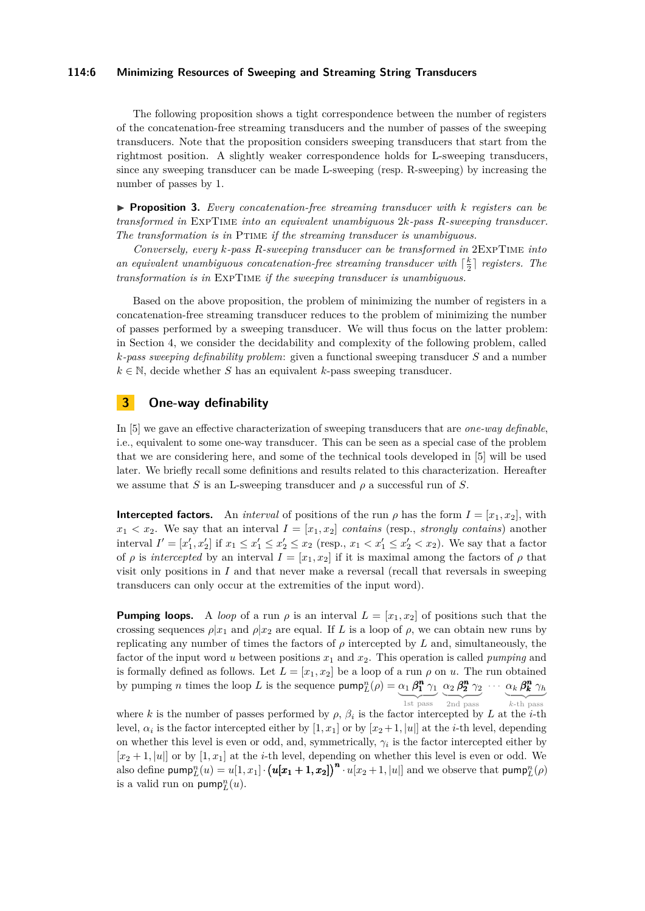#### **114:6 Minimizing Resources of Sweeping and Streaming String Transducers**

The following proposition shows a tight correspondence between the number of registers of the concatenation-free streaming transducers and the number of passes of the sweeping transducers. Note that the proposition considers sweeping transducers that start from the rightmost position. A slightly weaker correspondence holds for L-sweeping transducers, since any sweeping transducer can be made L-sweeping (resp. R-sweeping) by increasing the number of passes by 1.

<span id="page-5-1"></span>I **Proposition 3.** *Every concatenation-free streaming transducer with k registers can be transformed in* ExpTime *into an equivalent unambiguous* 2*k-pass R-sweeping transducer. The transformation is in* Ptime *if the streaming transducer is unambiguous.*

*Conversely, every k-pass R-sweeping transducer can be transformed in* 2ExpTime *into an equivalent unambiguous concatenation-free streaming transducer with*  $\lceil \frac{k}{2} \rceil$  *registers. The transformation is in* ExpTime *if the sweeping transducer is unambiguous.*

Based on the above proposition, the problem of minimizing the number of registers in a concatenation-free streaming transducer reduces to the problem of minimizing the number of passes performed by a sweeping transducer. We will thus focus on the latter problem: in Section [4,](#page-7-0) we consider the decidability and complexity of the following problem, called *k-pass sweeping definability problem*: given a functional sweeping transducer *S* and a number  $k \in \mathbb{N}$ , decide whether *S* has an equivalent *k*-pass sweeping transducer.

# <span id="page-5-0"></span>**3 One-way definability**

In [\[5\]](#page-12-6) we gave an effective characterization of sweeping transducers that are *one-way definable*, i.e., equivalent to some one-way transducer. This can be seen as a special case of the problem that we are considering here, and some of the technical tools developed in [\[5\]](#page-12-6) will be used later. We briefly recall some definitions and results related to this characterization. Hereafter we assume that *S* is an L-sweeping transducer and  $\rho$  a successful run of *S*.

**Intercepted factors.** An *interval* of positions of the run  $\rho$  has the form  $I = [x_1, x_2]$ , with  $x_1 < x_2$ . We say that an interval  $I = [x_1, x_2]$  *contains* (resp., *strongly contains*) another interval  $I' = [x'_1, x'_2]$  if  $x_1 \le x'_1 \le x'_2 \le x_2$  (resp.,  $x_1 < x'_1 \le x'_2 < x_2$ ). We say that a factor of *ρ* is *intercepted* by an interval  $I = [x_1, x_2]$  if it is maximal among the factors of *ρ* that visit only positions in *I* and that never make a reversal (recall that reversals in sweeping transducers can only occur at the extremities of the input word).

**Pumping loops.** A *loop* of a run  $\rho$  is an interval  $L = [x_1, x_2]$  of positions such that the crossing sequences  $\rho |x_1|$  and  $\rho |x_2|$  are equal. If *L* is a loop of  $\rho$ , we can obtain new runs by replicating any number of times the factors of  $\rho$  intercepted by  $L$  and, simultaneously, the factor of the input word *u* between positions  $x_1$  and  $x_2$ . This operation is called *pumping* and is formally defined as follows. Let  $L = [x_1, x_2]$  be a loop of a run  $\rho$  on  $u$ . The run obtained by pumping *n* times the loop L is the sequence  $\text{pump}_L^n(\rho) = \alpha_1 \beta_1^n \gamma_1 \alpha_2 \beta_2^n \gamma_2 \cdots \alpha_k \beta_k^n \gamma_k$ 1st pass 2nd pass  $\overline{k$ -th pass

where *k* is the number of passes performed by  $\rho$ ,  $\beta_i$  is the factor intercepted by *L* at the *i*-th level,  $\alpha_i$  is the factor intercepted either by  $[1, x_1]$  or by  $[x_2+1, |u|]$  at the *i*-th level, depending on whether this level is even or odd, and, symmetrically,  $\gamma_i$  is the factor intercepted either by  $[x_2 + 1, |u|]$  or by  $[1, x_1]$  at the *i*-th level, depending on whether this level is even or odd. We also define pump $\frac{n}{L}(u) = u[1, x_1] \cdot (u[x_1 + 1, x_2])^n \cdot u[x_2 + 1, |u|]$  and we observe that pump $\frac{n}{L}(\rho)$ is a valid run on  $\mathsf{pump}_L^n(u)$ .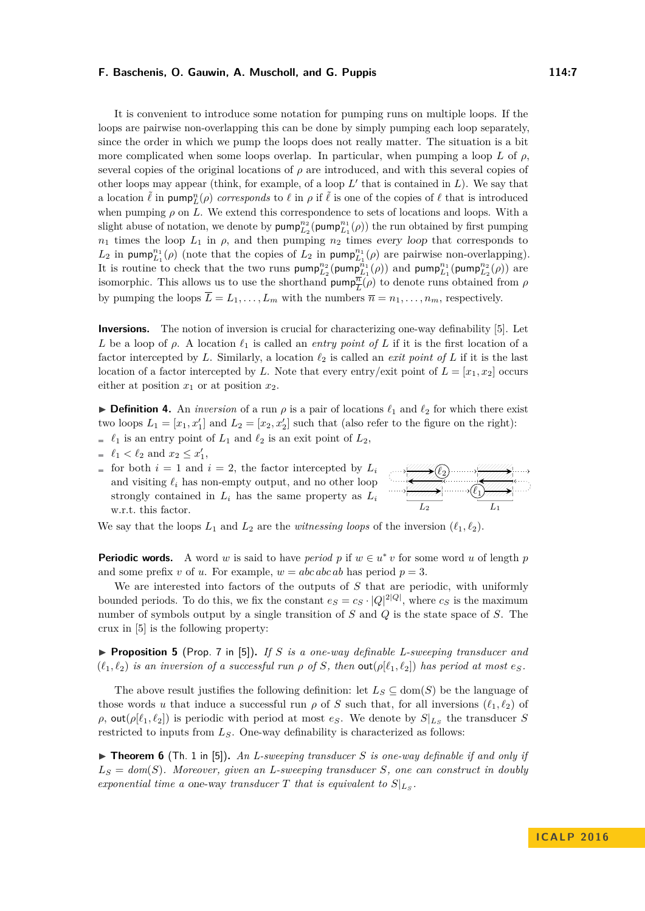It is convenient to introduce some notation for pumping runs on multiple loops. If the loops are pairwise non-overlapping this can be done by simply pumping each loop separately, since the order in which we pump the loops does not really matter. The situation is a bit more complicated when some loops overlap. In particular, when pumping a loop  $L$  of  $\rho$ , several copies of the original locations of  $\rho$  are introduced, and with this several copies of other loops may appear (think, for example, of a loop  $L'$  that is contained in  $L$ ). We say that a location  $\tilde{\ell}$  in pump<sub>L</sub><sup>n</sup>( $\rho$ ) *corresponds* to  $\ell$  in  $\rho$  if  $\tilde{\ell}$  is one of the copies of  $\ell$  that is introduced when pumping  $\rho$  on L. We extend this correspondence to sets of locations and loops. With a slight abuse of notation, we denote by  $\textsf{pump}_{L_2}^{n_2}(\textsf{pump}_{L_1}^{n_1}(\rho))$  the run obtained by first pumping  $n_1$  times the loop  $L_1$  in  $\rho$ , and then pumping  $n_2$  times every loop that corresponds to  $L_2$  in pump<sup>n<sub>1</sub></sup>( $\rho$ ) (note that the copies of  $L_2$  in pump<sup>n<sub>1</sup></sub>( $\rho$ ) are pairwise non-overlapping).</sup> It is routine to check that the two runs  $\text{pump}_{L_2}^{n_2}(\text{pump}_{L_1}^{n_1}(\rho))$  and  $\text{pump}_{L_1}^{n_1}(\text{pump}_{L_2}^{n_2}(\rho))$  are isomorphic. This allows us to use the shorthand  $\text{pump}_{\overline{L}}^{\overline{n}}(\rho)$  to denote runs obtained from  $\rho$ by pumping the loops  $\overline{L} = L_1, \ldots, L_m$  with the numbers  $\overline{n} = n_1, \ldots, n_m$ , respectively.

**Inversions.** The notion of inversion is crucial for characterizing one-way definability [\[5\]](#page-12-6). Let *L* be a loop of  $\rho$ . A location  $\ell_1$  is called an *entry point of L* if it is the first location of a factor intercepted by *L*. Similarly, a location  $\ell_2$  is called an *exit point of L* if it is the last location of a factor intercepted by *L*. Note that every entry/exit point of  $L = [x_1, x_2]$  occurs either at position  $x_1$  or at position  $x_2$ .

<span id="page-6-0"></span>**Definition 4.** An *inversion* of a run  $\rho$  is a pair of locations  $\ell_1$  and  $\ell_2$  for which there exist two loops  $L_1 = [x_1, x_1']$  and  $L_2 = [x_2, x_2']$  such that (also refer to the figure on the right):

- $\ell_1$  is an entry point of  $L_1$  and  $\ell_2$  is an exit point of  $L_2$ ,
- $\ell_1 < \ell_2$  and  $x_2 \le x'_1$ ,
- for both  $i = 1$  and  $i = 2$ , the factor intercepted by  $L_i$ and visiting  $\ell_i$  has non-empty output, and no other loop strongly contained in  $L_i$  has the same property as  $L_i$ w.r.t. this factor.



We say that the loops  $L_1$  and  $L_2$  are the *witnessing loops* of the inversion  $(\ell_1, \ell_2)$ .

**Periodic words.** A word *w* is said to have *period p* if  $w \in u^* v$  for some word *u* of length *p* and some prefix *v* of *u*. For example,  $w = abcabcab$  has period  $p = 3$ .

We are interested into factors of the outputs of *S* that are periodic, with uniformly bounded periods. To do this, we fix the constant  $e_S = c_S \cdot |Q|^{2|Q|}$ , where  $c_S$  is the maximum number of symbols output by a single transition of *S* and *Q* is the state space of *S*. The crux in [\[5\]](#page-12-6) is the following property:

<span id="page-6-2"></span>**Proposition 5** (Prop. 7 in [\[5\]](#page-12-6)). If *S* is a one-way definable L-sweeping transducer and  $(\ell_1, \ell_2)$  *is an inversion of a successful run*  $\rho$  *of S, then* **out**( $\rho[\ell_1, \ell_2]$ ) *has period at most e<sub>S</sub>.* 

The above result justifies the following definition: let  $L_S \subseteq \text{dom}(S)$  be the language of those words *u* that induce a successful run  $\rho$  of *S* such that, for all inversions  $(\ell_1, \ell_2)$  of *ρ*, out( $ρ[ℓ<sub>1</sub>, ℓ<sub>2</sub>]$ ) is periodic with period at most *e<sub>S</sub>*. We denote by  $S|<sub>L<sub>S</sub></sub>$  the transducer *S* restricted to inputs from *LS*. One-way definability is characterized as follows:

<span id="page-6-1"></span> $\triangleright$  **Theorem 6** (Th. 1 in [\[5\]](#page-12-6)), An L-sweeping transducer *S* is one-way definable if and only if  $L<sub>S</sub> = dom(S)$ *. Moreover, given an L-sweeping transducer S, one can construct in doubly exponential time a one-way transducer*  $T$  *that is equivalent to*  $S|_{L_S}$ *.*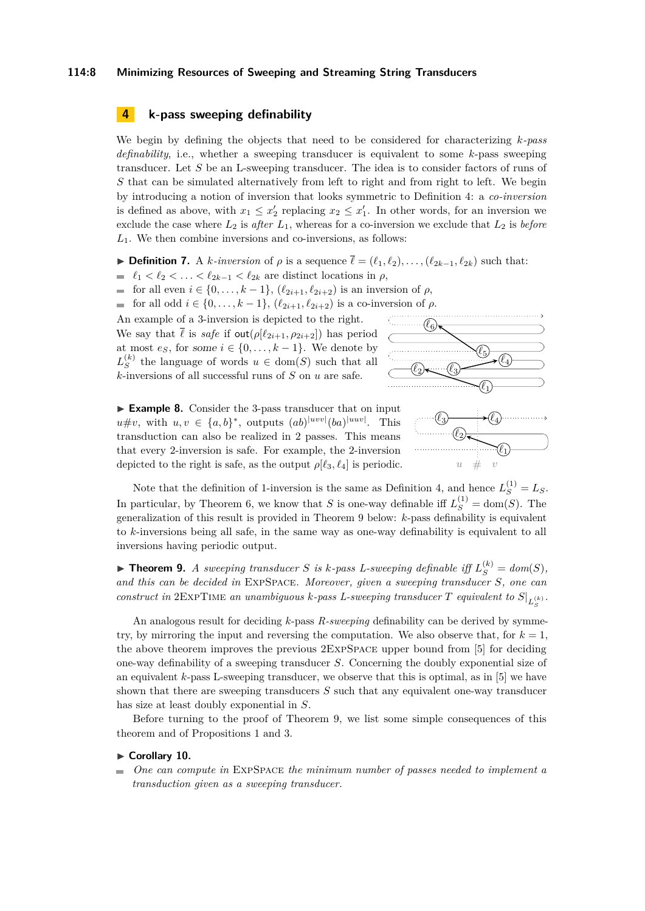#### **114:8 Minimizing Resources of Sweeping and Streaming String Transducers**

# <span id="page-7-0"></span>**4 k-pass sweeping definability**

We begin by defining the objects that need to be considered for characterizing *k-pass definability*, i.e., whether a sweeping transducer is equivalent to some *k*-pass sweeping transducer. Let *S* be an L-sweeping transducer. The idea is to consider factors of runs of *S* that can be simulated alternatively from left to right and from right to left. We begin by introducing a notion of inversion that looks symmetric to Definition [4:](#page-6-0) a *co-inversion* is defined as above, with  $x_1 \leq x_2'$  replacing  $x_2 \leq x_1'$ . In other words, for an inversion we exclude the case where  $L_2$  is *after*  $L_1$ , whereas for a co-inversion we exclude that  $L_2$  is *before L*1. We then combine inversions and co-inversions, as follows:

<span id="page-7-3"></span> $\triangleright$  **Definition 7.** A *k-inversion* of *ρ* is a sequence  $\overline{\ell} = (\ell_1, \ell_2), \ldots, (\ell_{2k-1}, \ell_{2k})$  such that:

- $\blacksquare$   $\ell_1 < \ell_2 < \ldots < \ell_{2k-1} < \ell_{2k}$  are distinct locations in *ρ*,
- $\blacksquare$  for all even *i* ∈ {0, ..., *k* − 1}, ( $\ell_{2i+1}, \ell_{2i+2}$ ) is an inversion of  $\rho$ ,

 $\blacksquare$  for all odd *i* ∈ {0, ..., *k* − 1}, ( $\ell_{2i+1}, \ell_{2i+2}$ ) is a co-inversion of *ρ*.

An example of a 3-inversion is depicted to the right. We say that  $\bar{\ell}$  is *safe* if  $\text{out}(\rho[\ell_{2i+1}, \rho_{2i+2}])$  has period at most  $e_S$ , for some  $i \in \{0, \ldots, k-1\}$ . We denote by  $L_S^{(k)}$  $S<sup>(k)</sup>$  the language of words  $u \in \text{dom}(S)$  such that all  $k$ -inversions of all successful runs of  $S$  on  $u$  are safe.



<span id="page-7-2"></span>► **Example 8.** Consider the 3-pass transducer that on input  $u \# v$ , with  $u, v \in \{a, b\}^*$ , outputs  $(ab)^{|uvw|}$  (*ba*)<sup>|uwv|</sup>. This transduction can also be realized in 2 passes. This means that every 2-inversion is safe. For example, the 2-inversion depicted to the right is safe, as the output  $\rho$ [ $\ell_3, \ell_4$ ] is periodic.



Note that the definition of 1-inversion is the same as Definition [4,](#page-6-0) and hence  $L_S^{(1)} = L_S$ . In particular, by Theorem [6,](#page-6-1) we know that *S* is one-way definable iff  $L_S^{(1)} = \text{dom}(S)$ . The generalization of this result is provided in Theorem [9](#page-7-1) below: *k*-pass definability is equivalent to *k*-inversions being all safe, in the same way as one-way definability is equivalent to all inversions having periodic output.

<span id="page-7-1"></span> $\blacktriangleright$  **Theorem 9.** *A sweeping transducer S is k-pass L-sweeping definable iff*  $L_S^{(k)} = dom(S)$ *, and this can be decided in* ExpSpace*. Moreover, given a sweeping transducer S, one can construct in*  $2EXPTIME$  *an unambiguous k-pass L-sweeping transducer*  $T$  *equivalent to*  $S|_{L_S^{(k)}}$ *.* 

An analogous result for deciding *k*-pass *R-sweeping* definability can be derived by symmetry, by mirroring the input and reversing the computation. We also observe that, for  $k = 1$ , the above theorem improves the previous 2ExpSpace upper bound from [\[5\]](#page-12-6) for deciding one-way definability of a sweeping transducer *S*. Concerning the doubly exponential size of an equivalent *k*-pass L-sweeping transducer, we observe that this is optimal, as in [\[5\]](#page-12-6) we have shown that there are sweeping transducers *S* such that any equivalent one-way transducer has size at least doubly exponential in *S*.

Before turning to the proof of Theorem [9,](#page-7-1) we list some simple consequences of this theorem and of Propositions [1](#page-3-0) and [3.](#page-5-1)

#### ► Corollary 10.

*One can compute in* ExpSpace *the minimum number of passes needed to implement a* m. *transduction given as a sweeping transducer.*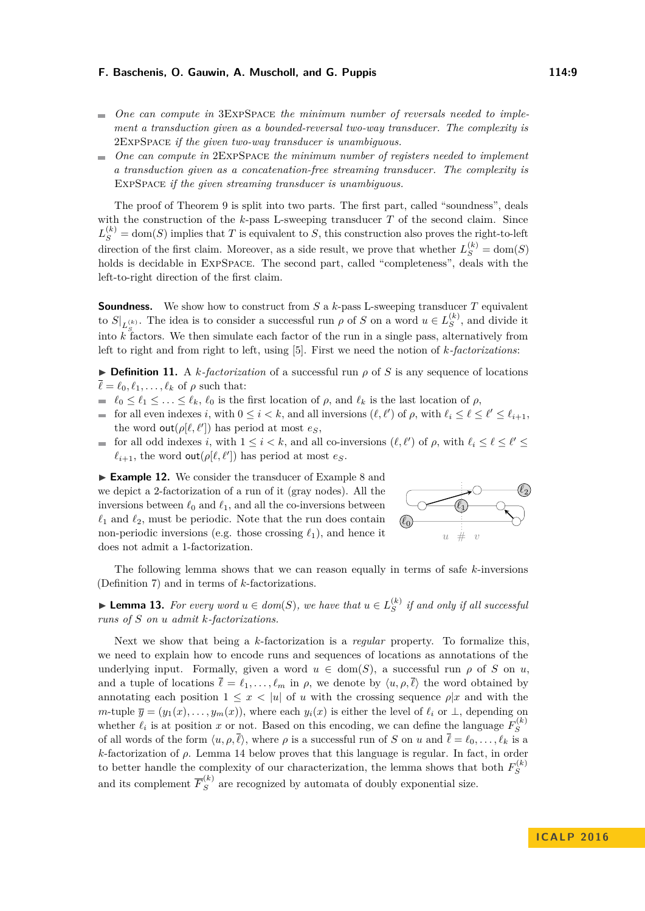- *One can compute in* 3ExpSpace *the minimum number of reversals needed to implement a transduction given as a bounded-reversal two-way transducer. The complexity is* 2ExpSpace *if the given two-way transducer is unambiguous.*
- *One can compute in* 2ExpSpace *the minimum number of registers needed to implement a transduction given as a concatenation-free streaming transducer. The complexity is* ExpSpace *if the given streaming transducer is unambiguous.*

The proof of Theorem [9](#page-7-1) is split into two parts. The first part, called "soundness", deals with the construction of the *k*-pass L-sweeping transducer *T* of the second claim. Since  $L_S^{(k)} = \text{dom}(S)$  implies that *T* is equivalent to *S*, this construction also proves the right-to-left direction of the first claim. Moreover, as a side result, we prove that whether  $L_S^{(k)} = \text{dom}(S)$ holds is decidable in ExpSpace. The second part, called "completeness", deals with the left-to-right direction of the first claim.

**Soundness.** We show how to construct from *S* a *k*-pass L-sweeping transducer *T* equivalent to  $S|_{L^{(k)}_{S}}$ . The idea is to consider a successful run  $\rho$  of *S* on a word  $u \in L^{(k)}_{S}$ into  $k$  factors. We then simulate each factor of the run in a single pass, alternatively from  $S^{(k)}$ , and divide it left to right and from right to left, using [\[5\]](#page-12-6). First we need the notion of *k-factorizations*:

 $\triangleright$  **Definition 11.** A *k*-factorization of a successful run  $\rho$  of *S* is any sequence of locations  $\overline{\ell} = \ell_0, \ell_1, \ldots, \ell_k$  of  $\rho$  such that:

- $\ell_0 \leq \ell_1 \leq \ldots \leq \ell_k$ ,  $\ell_0$  is the first location of *ρ*, and  $\ell_k$  is the last location of *ρ*,
- for all even indexes *i*, with  $0 \le i < k$ , and all inversions  $(\ell, \ell')$  of  $\rho$ , with  $\ell_i \le \ell \le \ell' \le \ell_{i+1}$ , the word  $\text{out}(\rho[\ell, \ell'])$  has period at most  $e_S$ ,
- for all odd indexes *i*, with  $1 \leq i < k$ , and all co-inversions  $(\ell, \ell')$  of  $\rho$ , with  $\ell_i \leq \ell \leq \ell' \leq$  $\ell_{i+1}$ , the word out( $\rho$ [ $\ell$ , $\ell'$ ]) has period at most  $e_S$ .

► **Example 12.** We consider the transducer of Example [8](#page-7-2) and we depict a 2-factorization of a run of it (gray nodes). All the inversions between  $\ell_0$  and  $\ell_1$ , and all the co-inversions between  $\ell_1$  and  $\ell_2$ , must be periodic. Note that the run does contain non-periodic inversions (e.g. those crossing  $\ell_1$ ), and hence it does not admit a 1-factorization.



The following lemma shows that we can reason equally in terms of safe *k*-inversions (Definition [7\)](#page-7-3) and in terms of *k*-factorizations.

<span id="page-8-0"></span>▶ **Lemma 13.** *For every word*  $u \in dom(S)$ *, we have that*  $u \in L_S^{(k)}$  $S<sup>(*κ*)</sup>$  *if and only if all successful runs of S on u admit k-factorizations.*

Next we show that being a *k*-factorization is a *regular* property. To formalize this, we need to explain how to encode runs and sequences of locations as annotations of the underlying input. Formally, given a word  $u \in \text{dom}(S)$ , a successful run  $\rho$  of *S* on *u*, and a tuple of locations  $\bar{\ell} = \ell_1, \ldots, \ell_m$  in  $\rho$ , we denote by  $\langle u, \rho, \bar{\ell} \rangle$  the word obtained by annotating each position  $1 \leq x \leq |u|$  of *u* with the crossing sequence  $\rho |x|$  and with the *m*-tuple  $\overline{y} = (y_1(x), \ldots, y_m(x))$ , where each  $y_i(x)$  is either the level of  $\ell_i$  or  $\perp$ , depending on whether  $\ell_i$  is at position *x* or not. Based on this encoding, we can define the language  $F_S^{(k)}$ *S* of all words of the form  $\langle u, \rho, \overline{\ell} \rangle$ , where  $\rho$  is a successful run of *S* on *u* and  $\overline{\ell} = \ell_0, \ldots, \ell_k$  is a  $k$ -factorization of  $\rho$ . Lemma [14](#page-9-0) below proves that this language is regular. In fact, in order to better handle the complexity of our characterization, the lemma shows that both  $F_S^{(k)}$ *S* and its complement  $\overline{F}_S^{(k)}$  are recognized by automata of doubly exponential size.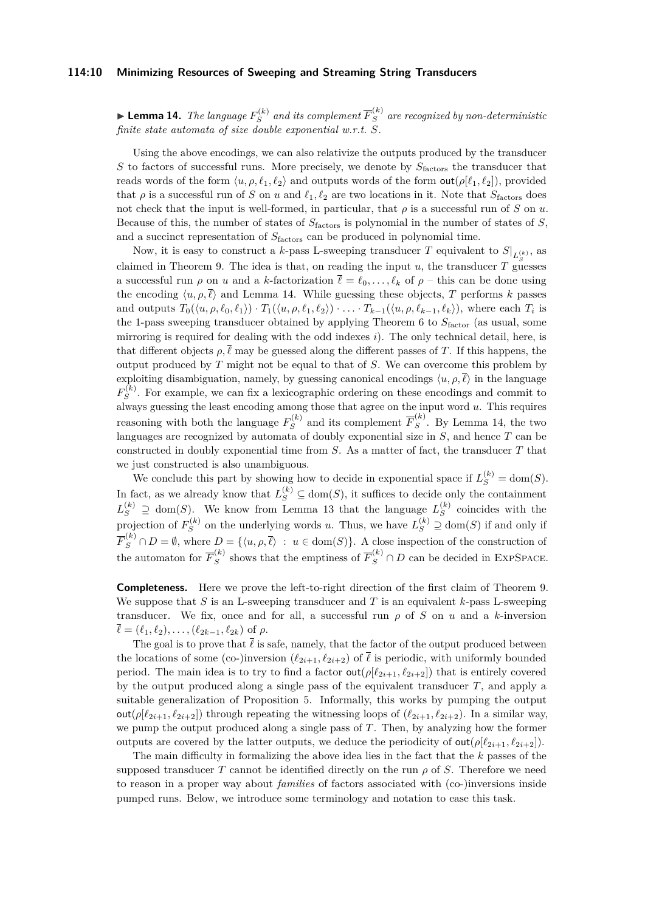#### **114:10 Minimizing Resources of Sweeping and Streaming String Transducers**

<span id="page-9-0"></span> $\blacktriangleright$  Lemma 14. *The language*  $F_S^{(k)}$  $S^{(k)}_{S}$  and its complement  $\overline{F}_{S}^{(k)}$  are recognized by non-deterministic *finite state automata of size double exponential w.r.t. S.*

Using the above encodings, we can also relativize the outputs produced by the transducer *S* to factors of successful runs. More precisely, we denote by  $S_{\text{factors}}$  the transducer that reads words of the form  $\langle u, \rho, \ell_1, \ell_2 \rangle$  and outputs words of the form  $\text{out}(\rho[\ell_1, \ell_2])$ , provided that  $\rho$  is a successful run of *S* on *u* and  $\ell_1, \ell_2$  are two locations in it. Note that  $S_{\text{factors}}$  does not check that the input is well-formed, in particular, that  $\rho$  is a successful run of *S* on *u*. Because of this, the number of states of *S*factors is polynomial in the number of states of *S*, and a succinct representation of *S*factors can be produced in polynomial time.

Now, it is easy to construct a *k*-pass L-sweeping transducer T equivalent to  $S|_{L_{\leq}^{(k)}},$  as claimed in Theorem [9.](#page-7-1) The idea is that, on reading the input *u*, the transducer *T* guesses a successful run  $\rho$  on *u* and a *k*-factorization  $\bar{\ell} = \ell_0, \ldots, \ell_k$  of  $\rho$  – this can be done using the encoding  $\langle u, \rho, \bar{\ell} \rangle$  and Lemma [14.](#page-9-0) While guessing these objects, *T* performs *k* passes and outputs  $T_0(\langle u, \rho, \ell_0, \ell_1 \rangle) \cdot T_1(\langle u, \rho, \ell_1, \ell_2 \rangle) \cdot \ldots \cdot T_{k-1}(\langle u, \rho, \ell_{k-1}, \ell_k \rangle)$ , where each  $T_i$  is the 1-pass sweeping transducer obtained by applying Theorem [6](#page-6-1) to  $S_{\text{factor}}$  (as usual, some mirroring is required for dealing with the odd indexes *i*). The only technical detail, here, is that different objects  $\rho, \overline{\ell}$  may be guessed along the different passes of *T*. If this happens, the output produced by *T* might not be equal to that of *S*. We can overcome this problem by exploiting disambiguation, namely, by guessing canonical encodings  $\langle u, \rho, \bar{\ell} \rangle$  in the language  $F_S^{(k)}$  $S^{(k)}$ . For example, we can fix a lexicographic ordering on these encodings and commit to always guessing the least encoding among those that agree on the input word *u*. This requires reasoning with both the language  $F_S^{(k)}$  $\overline{F}_S^{(k)}$  and its complement  $\overline{F}_S^{(k)}$  $S^{\left(\infty\right)}$ . By Lemma [14,](#page-9-0) the two languages are recognized by automata of doubly exponential size in *S*, and hence *T* can be constructed in doubly exponential time from *S*. As a matter of fact, the transducer *T* that we just constructed is also unambiguous.

We conclude this part by showing how to decide in exponential space if  $L_S^{(k)} = \text{dom}(S)$ . In fact, as we already know that  $L_S^{(k)} \subseteq \text{dom}(S)$ , it suffices to decide only the containment  $L_S^{(k)} \supseteq \text{dom}(S)$ . We know from Lemma [13](#page-8-0) that the language  $L_S^{(k)}$  $S<sup>(*κ*)</sup>$  coincides with the projection of  $F_S^{(k)}$  $S_S^{(k)}$  on the underlying words *u*. Thus, we have  $L_S^{(k)} \supseteq \text{dom}(S)$  if and only if  $\overline{F}_S^{(k)} \cap D = \emptyset$ , where  $D = \{ \langle u, \rho, \overline{\ell} \rangle : u \in \text{dom}(S) \}.$  A close inspection of the construction of the automaton for  $\overline{F}_S^{(k)}$  $S$ <sup>(*k*)</sup> shows that the emptiness of  $\overline{F}_S^{(k)}$  ∩ *D* can be decided in EXPSPACE.

**Completeness.** Here we prove the left-to-right direction of the first claim of Theorem [9.](#page-7-1) We suppose that *S* is an L-sweeping transducer and *T* is an equivalent *k*-pass L-sweeping transducer. We fix, once and for all, a successful run  $\rho$  of *S* on *u* and a *k*-inversion  $\overline{\ell} = (\ell_1, \ell_2), \ldots, (\ell_{2k-1}, \ell_{2k})$  of  $\rho$ .

The goal is to prove that  $\bar{\ell}$  is safe, namely, that the factor of the output produced between the locations of some (co-)inversion  $(\ell_{2i+1}, \ell_{2i+2})$  of  $\overline{\ell}$  is periodic, with uniformly bounded period. The main idea is to try to find a factor  $\text{out}(\rho[\ell_{2i+1}, \ell_{2i+2}])$  that is entirely covered by the output produced along a single pass of the equivalent transducer *T*, and apply a suitable generalization of Proposition [5.](#page-6-2) Informally, this works by pumping the output out( $\rho$ [ $\ell_{2i+1}, \ell_{2i+2}$ ]) through repeating the witnessing loops of ( $\ell_{2i+1}, \ell_{2i+2}$ ). In a similar way, we pump the output produced along a single pass of *T*. Then, by analyzing how the former outputs are covered by the latter outputs, we deduce the periodicity of  $\text{out}(\rho[\ell_{2i+1}, \ell_{2i+2}]).$ 

The main difficulty in formalizing the above idea lies in the fact that the *k* passes of the supposed transducer *T* cannot be identified directly on the run  $\rho$  of *S*. Therefore we need to reason in a proper way about *families* of factors associated with (co-)inversions inside pumped runs. Below, we introduce some terminology and notation to ease this task.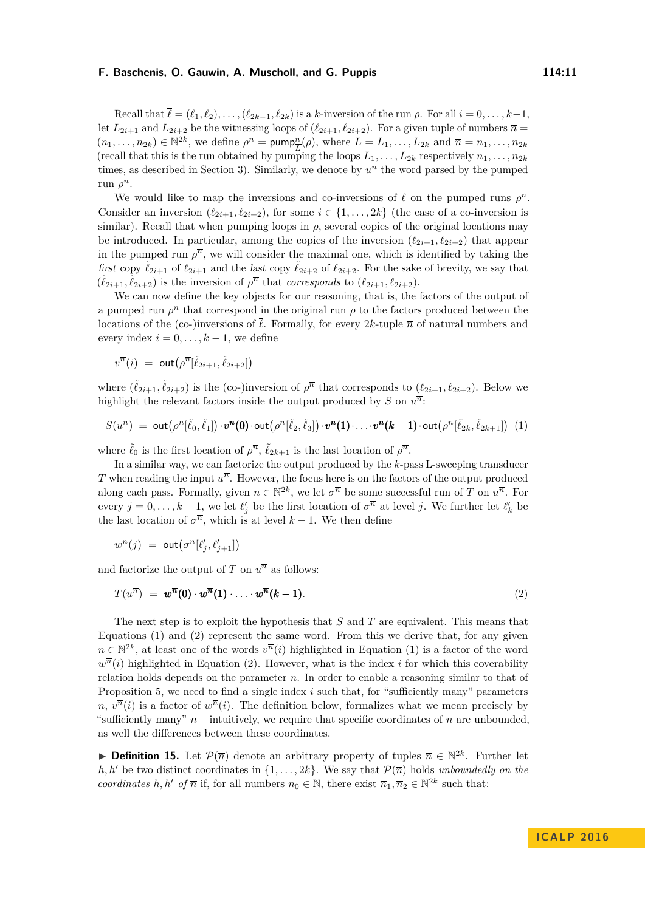Recall that  $\overline{\ell} = (\ell_1, \ell_2), \ldots, (\ell_{2k-1}, \ell_{2k})$  is a *k*-inversion of the run  $\rho$ . For all  $i = 0, \ldots, k-1$ , let  $L_{2i+1}$  and  $L_{2i+2}$  be the witnessing loops of  $(\ell_{2i+1}, \ell_{2i+2})$ . For a given tuple of numbers  $\overline{n} =$  $(n_1, \ldots, n_{2k}) \in \mathbb{N}^{2k}$ , we define  $\rho^{\overline{n}} = \text{pump}_{\overline{L}}^{\overline{n}}(\rho)$ , where  $\overline{L} = L_1, \ldots, L_{2k}$  and  $\overline{n} = n_1, \ldots, n_{2k}$ (recall that this is the run obtained by pumping the loops  $L_1, \ldots, L_{2k}$  respectively  $n_1, \ldots, n_{2k}$ times, as described in Section [3\)](#page-5-0). Similarly, we denote by  $u^{\overline{n}}$  the word parsed by the pumped run  $\rho^{\overline{n}}$ .

We would like to map the inversions and co-inversions of  $\bar{\ell}$  on the pumped runs  $\rho^{\bar{n}}$ . Consider an inversion  $(\ell_{2i+1}, \ell_{2i+2})$ , for some  $i \in \{1, \ldots, 2k\}$  (the case of a co-inversion is similar). Recall that when pumping loops in  $\rho$ , several copies of the original locations may be introduced. In particular, among the copies of the inversion  $(\ell_{2i+1}, \ell_{2i+2})$  that appear in the pumped run  $\rho^{\overline{n}}$ , we will consider the maximal one, which is identified by taking the first copy  $\tilde{\ell}_{2i+1}$  of  $\ell_{2i+1}$  and the last copy  $\tilde{\ell}_{2i+2}$  of  $\ell_{2i+2}$ . For the sake of brevity, we say that  $(\tilde{\ell}_{2i+1}, \tilde{\ell}_{2i+2})$  is the inversion of  $\rho^{\overline{n}}$  that *corresponds* to  $(\ell_{2i+1}, \ell_{2i+2})$ .

We can now define the key objects for our reasoning, that is, the factors of the output of a pumped run  $\rho^{\overline{n}}$  that correspond in the original run  $\rho$  to the factors produced between the locations of the (co-)inversions of  $\overline{\ell}$ . Formally, for every 2*k*-tuple  $\overline{n}$  of natural numbers and every index  $i = 0, \ldots, k - 1$ , we define

<span id="page-10-0"></span>
$$
v^{\overline{n}}(i) \ = \ \text{out}\big(\rho^{\overline{n}}[\tilde{\ell}_{2i+1},\tilde{\ell}_{2i+2}]\big)
$$

where  $(\tilde{\ell}_{2i+1}, \tilde{\ell}_{2i+2})$  is the (co-)inversion of  $\rho^{\overline{n}}$  that corresponds to  $(\ell_{2i+1}, \ell_{2i+2})$ . Below we highlight the relevant factors inside the output produced by *S* on  $u^{\overline{n}}$ .

$$
S(u^{\overline{n}}) = \text{out}(\rho^{\overline{n}}[\tilde{\ell}_0,\tilde{\ell}_1]) \cdot \pmb{v}^{\overline{n}}(0) \cdot \text{out}(\rho^{\overline{n}}[\tilde{\ell}_2,\tilde{\ell}_3]) \cdot \pmb{v}^{\overline{n}}(1) \cdot \ldots \cdot \pmb{v}^{\overline{n}}(k-1) \cdot \text{out}(\rho^{\overline{n}}[\tilde{\ell}_{2k},\tilde{\ell}_{2k+1}])
$$
(1)

where  $\tilde{\ell}_0$  is the first location of  $\rho^{\overline{n}}$ ,  $\tilde{\ell}_{2k+1}$  is the last location of  $\rho^{\overline{n}}$ .

In a similar way, we can factorize the output produced by the *k*-pass L-sweeping transducer *T* when reading the input  $u^{\overline{n}}$ . However, the focus here is on the factors of the output produced along each pass. Formally, given  $\overline{n} \in \mathbb{N}^{2k}$ , we let  $\sigma^{\overline{n}}$  be some successful run of *T* on  $u^{\overline{n}}$ . For every  $j = 0, \ldots, k - 1$ , we let  $\ell'_j$  be the first location of  $\sigma^{\overline{n}}$  at level *j*. We further let  $\ell'_k$  be the last location of  $\sigma^{\overline{n}}$ , which is at level  $k-1$ . We then define

<span id="page-10-1"></span>
$$
w^{\overline{n}}(j) \ = \ \textsf{out}\big(\sigma^{\overline{n}}[\ell'_j,\ell'_{j+1}]\big)
$$

and factorize the output of *T* on  $u^{\overline{n}}$  as follows:

$$
T(u^{\overline{n}}) = w^{\overline{n}}(0) \cdot w^{\overline{n}}(1) \cdot \ldots \cdot w^{\overline{n}}(k-1). \tag{2}
$$

The next step is to exploit the hypothesis that *S* and *T* are equivalent. This means that Equations [\(1\)](#page-10-0) and [\(2\)](#page-10-1) represent the same word. From this we derive that, for any given  $\overline{n} \in \mathbb{N}^{2k}$ , at least one of the words  $v^{\overline{n}}(i)$  highlighted in Equation [\(1\)](#page-10-0) is a factor of the word  $w^{\overline{n}}(i)$  highlighted in Equation [\(2\).](#page-10-1) However, what is the index *i* for which this coverability relation holds depends on the parameter  $\bar{n}$ . In order to enable a reasoning similar to that of Proposition [5,](#page-6-2) we need to find a single index *i* such that, for "sufficiently many" parameters  $\overline{n}, v^{\overline{n}}(i)$  is a factor of  $w^{\overline{n}}(i)$ . The definition below, formalizes what we mean precisely by "sufficiently many"  $\bar{n}$  – intuitively, we require that specific coordinates of  $\bar{n}$  are unbounded, as well the differences between these coordinates.

**Definition 15.** Let  $\mathcal{P}(\overline{n})$  denote an arbitrary property of tuples  $\overline{n} \in \mathbb{N}^{2k}$ . Further let *h, h'* be two distinct coordinates in  $\{1, \ldots, 2k\}$ . We say that  $\mathcal{P}(\overline{n})$  holds *unboundedly on the coordinates*  $h, h'$  *of*  $\overline{n}$  if, for all numbers  $n_0 \in \mathbb{N}$ , there exist  $\overline{n}_1, \overline{n}_2 \in \mathbb{N}^{2k}$  such that: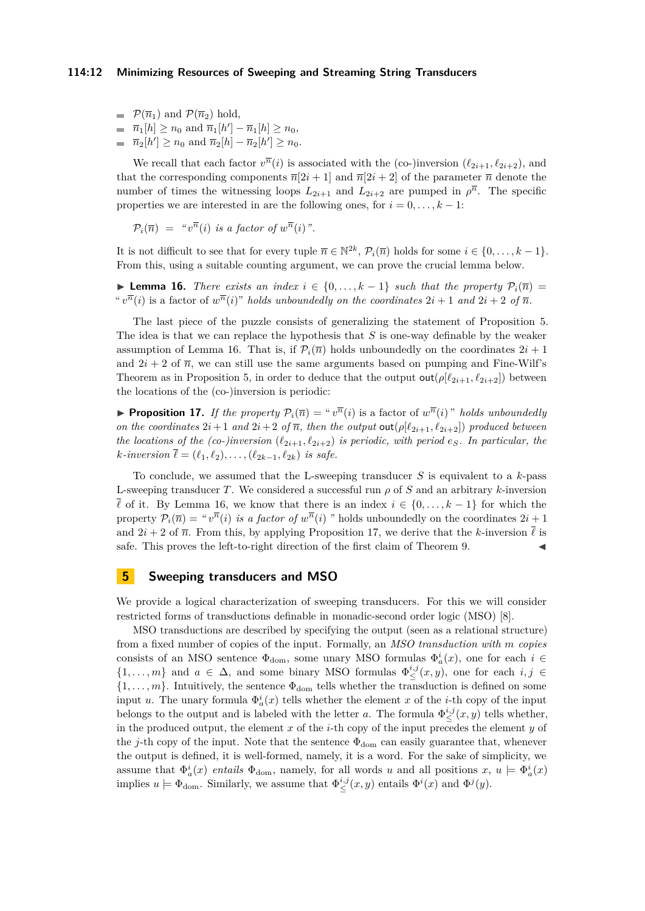- $\blacksquare$   $\mathcal{P}(\overline{n}_1)$  and  $\mathcal{P}(\overline{n}_2)$  hold,
- $\overline{n}_1[h] \ge n_0$  and  $\overline{n}_1[h'] \overline{n}_1[h] \ge n_0$ ,  $\overline{n}_2[h'] \ge n_0$  and  $\overline{n}_2[h] - \overline{n}_2[h'] \ge n_0$ .

We recall that each factor  $v^{\overline{n}}(i)$  is associated with the (co-)inversion ( $\ell_{2i+1}, \ell_{2i+2}$ ), and that the corresponding components  $\overline{n}[2i + 1]$  and  $\overline{n}[2i + 2]$  of the parameter  $\overline{n}$  denote the number of times the witnessing loops  $L_{2i+1}$  and  $L_{2i+2}$  are pumped in  $\rho^{\overline{n}}$ . The specific properties we are interested in are the following ones, for  $i = 0, \ldots, k - 1$ :

$$
\mathcal{P}_i(\overline{n}) = "v^{\overline{n}}(i) \text{ is a factor of } w^{\overline{n}}(i)".
$$

It is not difficult to see that for every tuple  $\overline{n} \in \mathbb{N}^{2k}$ ,  $\mathcal{P}_i(\overline{n})$  holds for some  $i \in \{0, \ldots, k-1\}$ . From this, using a suitable counting argument, we can prove the crucial lemma below.

<span id="page-11-1"></span>**► Lemma 16.** *There exists an index*  $i \in \{0, ..., k-1\}$  *such that the property*  $\mathcal{P}_i(\overline{n}) =$ " $v^{\overline{n}}(i)$  is a factor of  $w^{\overline{n}}(i)$ " *holds unboundedly on the coordinates*  $2i + 1$  *and*  $2i + 2$  *of*  $\overline{n}$ *.* 

The last piece of the puzzle consists of generalizing the statement of Proposition [5.](#page-6-2) The idea is that we can replace the hypothesis that *S* is one-way definable by the weaker assumption of Lemma [16.](#page-11-1) That is, if  $\mathcal{P}_i(\overline{n})$  holds unboundedly on the coordinates  $2i + 1$ and  $2i + 2$  of  $\overline{n}$ , we can still use the same arguments based on pumping and Fine-Wilf's Theorem as in Proposition [5,](#page-6-2) in order to deduce that the output  $\text{out}(\rho[\ell_{2i+1}, \ell_{2i+2}])$  between the locations of the (co-)inversion is periodic:

<span id="page-11-2"></span>**Proposition 17.** *If the property*  $P_i(\overline{n}) = "v^{\overline{n}}(i)$  is a factor of  $w^{\overline{n}}(i)$ " *holds unboundedly on the coordinates*  $2i+1$  *and*  $2i+2$  *of*  $\overline{n}$ *, then the output* **out**( $\rho[\ell_{2i+1}, \ell_{2i+2}]$ ) *produced between the locations of the (co-)inversion*  $(\ell_{2i+1}, \ell_{2i+2})$  *is periodic, with period*  $e_S$ *. In particular, the k*-*inversion*  $\bar{\ell} = (\ell_1, \ell_2), \ldots, (\ell_{2k-1}, \ell_{2k})$  *is safe.* 

To conclude, we assumed that the L-sweeping transducer *S* is equivalent to a *k*-pass L-sweeping transducer *T*. We considered a successful run *ρ* of *S* and an arbitrary *k*-inversion  $\overline{\ell}$  of it. By Lemma [16,](#page-11-1) we know that there is an index  $i \in \{0, \ldots, k-1\}$  for which the property  $P_i(\overline{n}) = "v^{\overline{n}}(i)$  *is a factor of*  $w^{\overline{n}}(i)$  *"* holds unboundedly on the coordinates  $2i + 1$ and  $2i + 2$  of  $\overline{n}$ . From this, by applying Proposition [17,](#page-11-2) we derive that the *k*-inversion  $\overline{\ell}$  is safe. This proves the left-to-right direction of the first claim of Theorem [9.](#page-7-1)

# <span id="page-11-0"></span>**5 Sweeping transducers and MSO**

We provide a logical characterization of sweeping transducers. For this we will consider restricted forms of transductions definable in monadic-second order logic (MSO) [\[8\]](#page-12-1).

MSO transductions are described by specifying the output (seen as a relational structure) from a fixed number of copies of the input. Formally, an *MSO transduction with m copies* consists of an MSO sentence  $\Phi_{\text{dom}}$ , some unary MSO formulas  $\Phi_a^i(x)$ , one for each  $i \in$  $\{1,\ldots,m\}$  and  $a \in \Delta$ , and some binary MSO formulas  $\Phi_{\leq}^{i,j}(x,y)$ , one for each  $i,j \in$  $\{1, \ldots, m\}$ . Intuitively, the sentence  $\Phi_{\text{dom}}$  tells whether the transduction is defined on some input *u*. The unary formula  $\Phi_a^i(x)$  tells whether the element *x* of the *i*-th copy of the input belongs to the output and is labeled with the letter *a*. The formula  $\Phi_{\leq}^{i,j}(x, y)$  tells whether, in the produced output, the element *x* of the *i*-th copy of the input precedes the element *y* of the *j*-th copy of the input. Note that the sentence  $\Phi_{\text{dom}}$  can easily guarantee that, whenever the output is defined, it is well-formed, namely, it is a word. For the sake of simplicity, we assume that  $\Phi_a^i(x)$  *entails*  $\Phi_{\text{dom}}$ , namely, for all words *u* and all positions  $x, u \models \Phi_a^i(x)$ implies  $u \models \Phi_{\text{dom}}$ . Similarly, we assume that  $\Phi_{\leq}^{i,j}(x, y)$  entails  $\Phi^{i}(x)$  and  $\Phi^{j}(y)$ .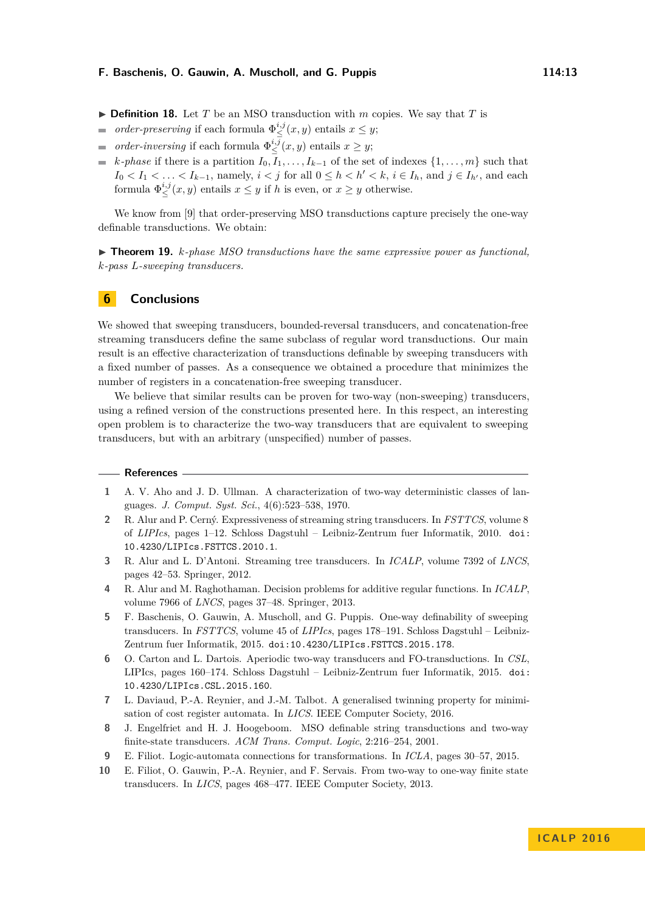- $\triangleright$  **Definition 18.** Let *T* be an MSO transduction with *m* copies. We say that *T* is
- *order-preserving* if each formula  $\Phi_{\leq}^{i,j}(x, y)$  entails  $x \leq y$ ;  $\overline{a}$
- *order-inversing* if each formula  $\Phi_{\leq}^{i,j}(x, y)$  entails  $x \geq y$ ;  $\overline{\phantom{a}}$
- *k-phase* if there is a partition  $I_0, I_1, \ldots, I_{k-1}$  of the set of indexes  $\{1, \ldots, m\}$  such that *I*<sub>0</sub> < *I*<sub>1</sub> < ... < *I*<sub>*k*−1</sub>, namely, *i* < *j* for all 0 ≤ *h* < *h'* < *k*, *i* ∈ *I<sub><i>h*</sub></sub>, and each formula  $\Phi_{\leq}^{i,j}(x, y)$  entails  $x \leq y$  if *h* is even, or  $x \geq y$  otherwise.

We know from [\[9\]](#page-12-9) that order-preserving MSO transductions capture precisely the one-way definable transductions. We obtain:

I **Theorem 19.** *k-phase MSO transductions have the same expressive power as functional, k-pass L-sweeping transducers.*

## **6 Conclusions**

We showed that sweeping transducers, bounded-reversal transducers, and concatenation-free streaming transducers define the same subclass of regular word transductions. Our main result is an effective characterization of transductions definable by sweeping transducers with a fixed number of passes. As a consequence we obtained a procedure that minimizes the number of registers in a concatenation-free sweeping transducer.

We believe that similar results can be proven for two-way (non-sweeping) transducers, using a refined version of the constructions presented here. In this respect, an interesting open problem is to characterize the two-way transducers that are equivalent to sweeping transducers, but with an arbitrary (unspecified) number of passes.

#### **References**

- <span id="page-12-0"></span>**1** A. V. Aho and J. D. Ullman. A characterization of two-way deterministic classes of languages. *J. Comput. Syst. Sci.*, 4(6):523–538, 1970.
- <span id="page-12-2"></span>**2** R. Alur and P. Cerný. Expressiveness of streaming string transducers. In *FSTTCS*, volume 8 of *LIPIcs*, pages 1–12. Schloss Dagstuhl – Leibniz-Zentrum fuer Informatik, 2010. [doi:](http://dx.doi.org/10.4230/LIPIcs.FSTTCS.2010.1) [10.4230/LIPIcs.FSTTCS.2010.1](http://dx.doi.org/10.4230/LIPIcs.FSTTCS.2010.1).
- <span id="page-12-3"></span>**3** R. Alur and L. D'Antoni. Streaming tree transducers. In *ICALP*, volume 7392 of *LNCS*, pages 42–53. Springer, 2012.
- <span id="page-12-4"></span>**4** R. Alur and M. Raghothaman. Decision problems for additive regular functions. In *ICALP*, volume 7966 of *LNCS*, pages 37–48. Springer, 2013.
- <span id="page-12-6"></span>**5** F. Baschenis, O. Gauwin, A. Muscholl, and G. Puppis. One-way definability of sweeping transducers. In *FSTTCS*, volume 45 of *LIPIcs*, pages 178–191. Schloss Dagstuhl – Leibniz-Zentrum fuer Informatik, 2015. [doi:10.4230/LIPIcs.FSTTCS.2015.178](http://dx.doi.org/10.4230/LIPIcs.FSTTCS.2015.178).
- <span id="page-12-7"></span>**6** O. Carton and L. Dartois. Aperiodic two-way transducers and FO-transductions. In *CSL*, LIPIcs, pages 160–174. Schloss Dagstuhl – Leibniz-Zentrum fuer Informatik, 2015. [doi:](http://dx.doi.org/10.4230/LIPIcs.CSL.2015.160) [10.4230/LIPIcs.CSL.2015.160](http://dx.doi.org/10.4230/LIPIcs.CSL.2015.160).
- <span id="page-12-8"></span>**7** L. Daviaud, P.-A. Reynier, and J.-M. Talbot. A generalised twinning property for minimisation of cost register automata. In *LICS*. IEEE Computer Society, 2016.
- <span id="page-12-1"></span>**8** J. Engelfriet and H. J. Hoogeboom. MSO definable string transductions and two-way finite-state transducers. *ACM Trans. Comput. Logic*, 2:216–254, 2001.
- <span id="page-12-9"></span>**9** E. Filiot. Logic-automata connections for transformations. In *ICLA*, pages 30–57, 2015.
- <span id="page-12-5"></span>**10** E. Filiot, O. Gauwin, P.-A. Reynier, and F. Servais. From two-way to one-way finite state transducers. In *LICS*, pages 468–477. IEEE Computer Society, 2013.